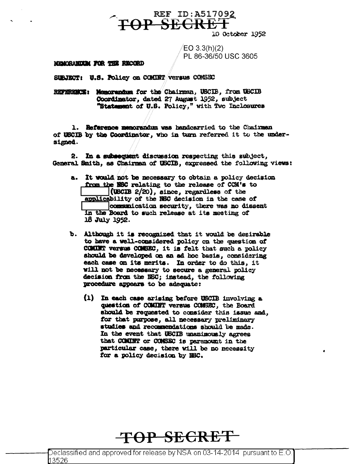10 October 1952

 $EO 3.3(h)(2)$ PL 86-36/50 USC 3605

**REF ID: A517092** 

**TOP SECRET** 

## MEMORANDUM FOR THE RECORD

SUBJECT: U.S. Policy on COMINT Versus COMSEC

REFERENCE: Memorandum for the Chairman, USCIB, from USCIB Coordinator, dated 27 August 1952, subject "Statement of U.S. Policy," with Two Inclosures

1. Reference memorandum was handcarried to the Chairman of USCIB by the Coordinator, who in turn referred it to the undersigned.

2. In a subsequent discussion respecting this subject, General Smith, as Chairman of USCIB, expressed the following views:

- a. It would not be necessary to obtain a policy decision from the NSC relating to the release of CCM's to  $($ USCIB 2 $/20$ ), since, regardless of the applicability of the NSC decision in the case of communication security, there was no dissent In the Board to such release at its meeting of 18 July 1952.
- b. Although it is recognized that it would be desirable to have a well-considered policy on the question of COMUNT versus COMBEC, it is felt that such a policy should be developed on an ad hoc basis, considering each case on its merits. In order to do this, it will not be necessary to secure a general policy decision from the NSC; instead, the following procedure appears to be adequate:
	- (1) In each case arising before USCIB involving a question of COMINT versus COMSEC, the Board should be requested to consider this issue and. for that purpose, all necessary preliminary studies and recommendations should be made. In the event that USCIB unanimously agrees that COMINT or CONSEC is paramount in the particular case, there will be no necessity for a policy decision by NEC.

## **TOP SECRET**